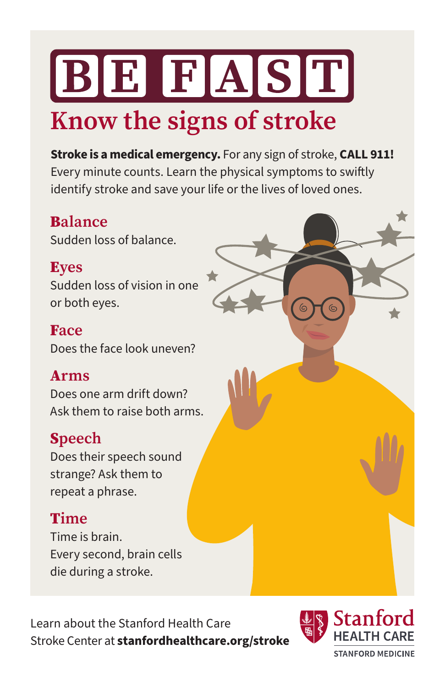# BE FAST **Know the signs of stroke**

**Stroke is a medical emergency.** For any sign of stroke, **CALL 911!** Every minute counts. Learn the physical symptoms to swiftly identify stroke and save your life or the lives of loved ones.

#### B**alance**

Sudden loss of balance.

#### E**yes**

Sudden loss of vision in one or both eyes.

#### F**ace**

Does the face look uneven?

#### A**rms**

Does one arm drift down? Ask them to raise both arms.

### S**peech**

Does their speech sound strange? Ask them to repeat a phrase.

### T**ime**

Time is brain. Every second, brain cells die during a stroke.

Learn about the Stanford Health Care Stroke Center at **[stanfordhealthcare.org/stroke](http://stanfordhealthcare.org/stroke)**